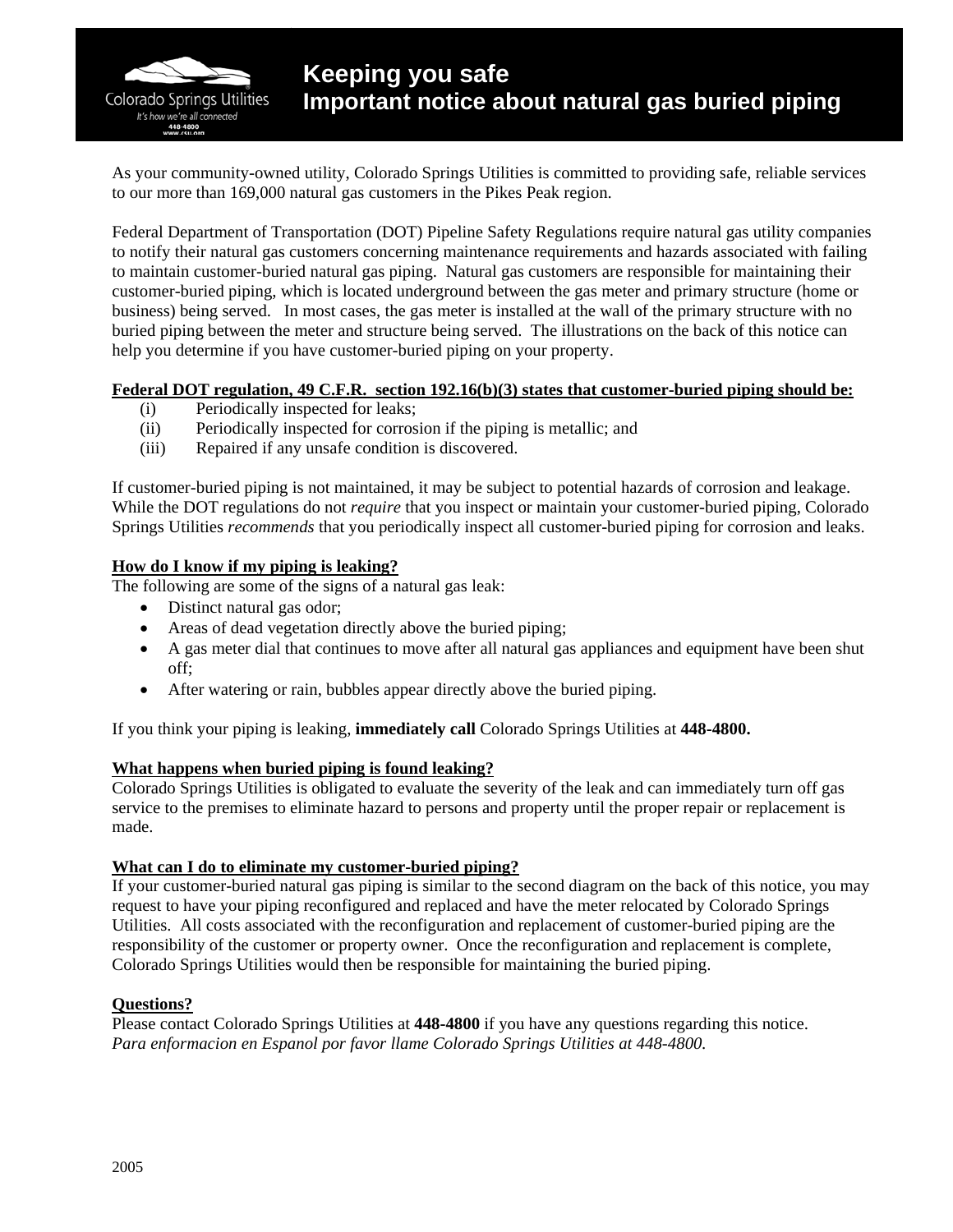Colorado Springs Utilities It's how we're all connected

As your community-owned utility, Colorado Springs Utilities is committed to providing safe, reliable services to our more than 169,000 natural gas customers in the Pikes Peak region.

Federal Department of Transportation (DOT) Pipeline Safety Regulations require natural gas utility companies to notify their natural gas customers concerning maintenance requirements and hazards associated with failing to maintain customer-buried natural gas piping. Natural gas customers are responsible for maintaining their customer-buried piping, which is located underground between the gas meter and primary structure (home or business) being served. In most cases, the gas meter is installed at the wall of the primary structure with no buried piping between the meter and structure being served. The illustrations on the back of this notice can help you determine if you have customer-buried piping on your property.

## **Federal DOT regulation, 49 C.F.R. section 192.16(b)(3) states that customer-buried piping should be:**

- (i) Periodically inspected for leaks;
- (ii) Periodically inspected for corrosion if the piping is metallic; and
- (iii) Repaired if any unsafe condition is discovered.

If customer-buried piping is not maintained, it may be subject to potential hazards of corrosion and leakage. While the DOT regulations do not *require* that you inspect or maintain your customer-buried piping, Colorado Springs Utilities *recommends* that you periodically inspect all customer-buried piping for corrosion and leaks.

## **How do I know if my piping is leaking?**

The following are some of the signs of a natural gas leak:

- Distinct natural gas odor;
- Areas of dead vegetation directly above the buried piping;
- A gas meter dial that continues to move after all natural gas appliances and equipment have been shut off;
- After watering or rain, bubbles appear directly above the buried piping.

If you think your piping is leaking, **immediately call** Colorado Springs Utilities at **448-4800.** 

## **What happens when buried piping is found leaking?**

Colorado Springs Utilities is obligated to evaluate the severity of the leak and can immediately turn off gas service to the premises to eliminate hazard to persons and property until the proper repair or replacement is made.

# **What can I do to eliminate my customer-buried piping?**

If your customer-buried natural gas piping is similar to the second diagram on the back of this notice, you may request to have your piping reconfigured and replaced and have the meter relocated by Colorado Springs Utilities. All costs associated with the reconfiguration and replacement of customer-buried piping are the responsibility of the customer or property owner. Once the reconfiguration and replacement is complete, Colorado Springs Utilities would then be responsible for maintaining the buried piping.

## **Questions?**

Please contact Colorado Springs Utilities at **448-4800** if you have any questions regarding this notice. *Para enformacion en Espanol por favor llame Colorado Springs Utilities at 448-4800.*